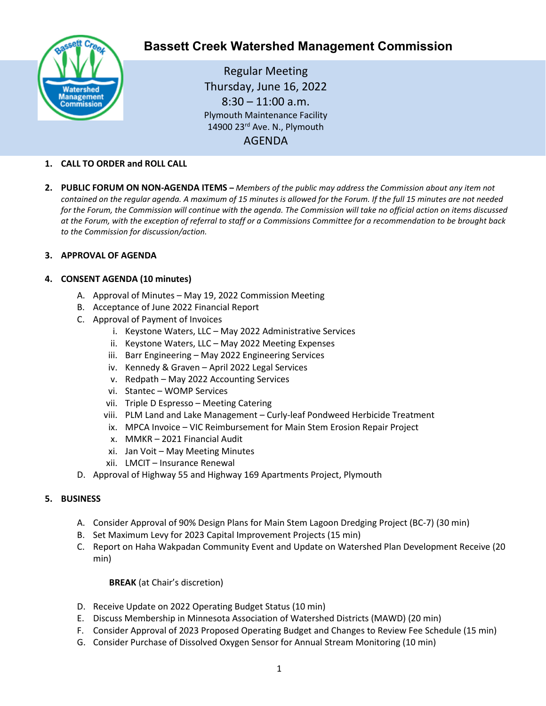

# **Bassett Creek Watershed Management Commission**

Regular Meeting Thursday, June 16, 2022  $8:30 - 11:00$  a.m. Plymouth Maintenance Facility 14900 23rd Ave. N., Plymouth AGENDA

# **1. CALL TO ORDER and ROLL CALL**

**2. PUBLIC FORUM ON NON-AGENDA ITEMS –** *Members of the public may address the Commission about any item not contained on the regular agenda. A maximum of 15 minutes is allowed for the Forum. If the full 15 minutes are not needed for the Forum, the Commission will continue with the agenda. The Commission will take no official action on items discussed at the Forum, with the exception of referral to staff or a Commissions Committee for a recommendation to be brought back to the Commission for discussion/action.*

#### **3. APPROVAL OF AGENDA**

# **4. CONSENT AGENDA (10 minutes)**

- A. Approval of Minutes May 19, 2022 Commission Meeting
- B. Acceptance of June 2022 Financial Report
- C. Approval of Payment of Invoices
	- i. Keystone Waters, LLC May 2022 Administrative Services
	- ii. Keystone Waters, LLC May 2022 Meeting Expenses
	- iii. Barr Engineering May 2022 Engineering Services
	- iv. Kennedy & Graven April 2022 Legal Services
	- v. Redpath May 2022 Accounting Services
	- vi. Stantec WOMP Services
	- vii. Triple D Espresso Meeting Catering
	- viii. PLM Land and Lake Management Curly-leaf Pondweed Herbicide Treatment
	- ix. MPCA Invoice VIC Reimbursement for Main Stem Erosion Repair Project
	- x. MMKR 2021 Financial Audit
	- xi. Jan Voit May Meeting Minutes
	- xii. LMCIT Insurance Renewal
- D. Approval of Highway 55 and Highway 169 Apartments Project, Plymouth

#### **5. BUSINESS**

- A. Consider Approval of 90% Design Plans for Main Stem Lagoon Dredging Project (BC-7) (30 min)
- B. Set Maximum Levy for 2023 Capital Improvement Projects (15 min)
- C. Report on Haha Wakpadan Community Event and Update on Watershed Plan Development Receive (20 min)

#### **BREAK** (at Chair's discretion)

- D. Receive Update on 2022 Operating Budget Status (10 min)
- E. Discuss Membership in Minnesota Association of Watershed Districts (MAWD) (20 min)
- F. Consider Approval of 2023 Proposed Operating Budget and Changes to Review Fee Schedule (15 min)
- G. Consider Purchase of Dissolved Oxygen Sensor for Annual Stream Monitoring (10 min)